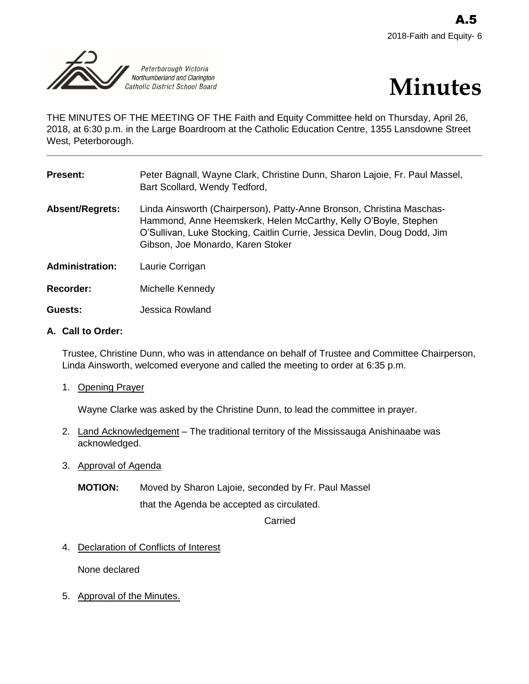



THE MINUTES OF THE MEETING OF THE Faith and Equity Committee held on Thursday, April 26, 2018, at 6:30 p.m. in the Large Boardroom at the Catholic Education Centre, 1355 Lansdowne Street West, Peterborough.

| <b>Present:</b>        | Peter Bagnall, Wayne Clark, Christine Dunn, Sharon Lajoie, Fr. Paul Massel,<br>Bart Scollard, Wendy Tedford,                                                                                                                                               |
|------------------------|------------------------------------------------------------------------------------------------------------------------------------------------------------------------------------------------------------------------------------------------------------|
| <b>Absent/Regrets:</b> | Linda Ainsworth (Chairperson), Patty-Anne Bronson, Christina Maschas-<br>Hammond, Anne Heemskerk, Helen McCarthy, Kelly O'Boyle, Stephen<br>O'Sullivan, Luke Stocking, Caitlin Currie, Jessica Devlin, Doug Dodd, Jim<br>Gibson, Joe Monardo, Karen Stoker |
| <b>Administration:</b> | Laurie Corrigan                                                                                                                                                                                                                                            |
| <b>Recorder:</b>       | Michelle Kennedy                                                                                                                                                                                                                                           |

**Guests:** Jessica Rowland

## **A. Call to Order:**

Trustee, Christine Dunn, who was in attendance on behalf of Trustee and Committee Chairperson, Linda Ainsworth, welcomed everyone and called the meeting to order at 6:35 p.m.

1. Opening Prayer

Wayne Clarke was asked by the Christine Dunn, to lead the committee in prayer.

- 2. Land Acknowledgement The traditional territory of the Mississauga Anishinaabe was acknowledged.
- 3. Approval of Agenda
	- **MOTION:** Moved by Sharon Lajoie, seconded by Fr. Paul Massel that the Agenda be accepted as circulated.

Carried

4. Declaration of Conflicts of Interest

None declared

5. Approval of the Minutes.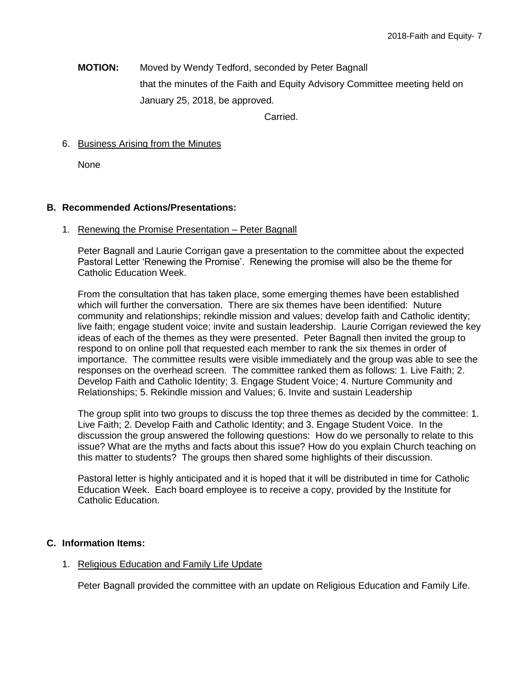**MOTION:** Moved by Wendy Tedford, seconded by Peter Bagnall that the minutes of the Faith and Equity Advisory Committee meeting held on January 25, 2018, be approved.

Carried.

# 6. Business Arising from the Minutes

None

## **B. Recommended Actions/Presentations:**

1. Renewing the Promise Presentation – Peter Bagnall

Peter Bagnall and Laurie Corrigan gave a presentation to the committee about the expected Pastoral Letter 'Renewing the Promise'. Renewing the promise will also be the theme for Catholic Education Week.

From the consultation that has taken place, some emerging themes have been established which will further the conversation. There are six themes have been identified: Nuture community and relationships; rekindle mission and values; develop faith and Catholic identity; live faith; engage student voice; invite and sustain leadership. Laurie Corrigan reviewed the key ideas of each of the themes as they were presented. Peter Bagnall then invited the group to respond to on online poll that requested each member to rank the six themes in order of importance. The committee results were visible immediately and the group was able to see the responses on the overhead screen. The committee ranked them as follows: 1. Live Faith; 2. Develop Faith and Catholic Identity; 3. Engage Student Voice; 4. Nurture Community and Relationships; 5. Rekindle mission and Values; 6. Invite and sustain Leadership

The group split into two groups to discuss the top three themes as decided by the committee: 1. Live Faith; 2. Develop Faith and Catholic Identity; and 3. Engage Student Voice. In the discussion the group answered the following questions: How do we personally to relate to this issue? What are the myths and facts about this issue? How do you explain Church teaching on this matter to students? The groups then shared some highlights of their discussion.

Pastoral letter is highly anticipated and it is hoped that it will be distributed in time for Catholic Education Week. Each board employee is to receive a copy, provided by the Institute for Catholic Education.

### **C. Information Items:**

### 1. Religious Education and Family Life Update

Peter Bagnall provided the committee with an update on Religious Education and Family Life.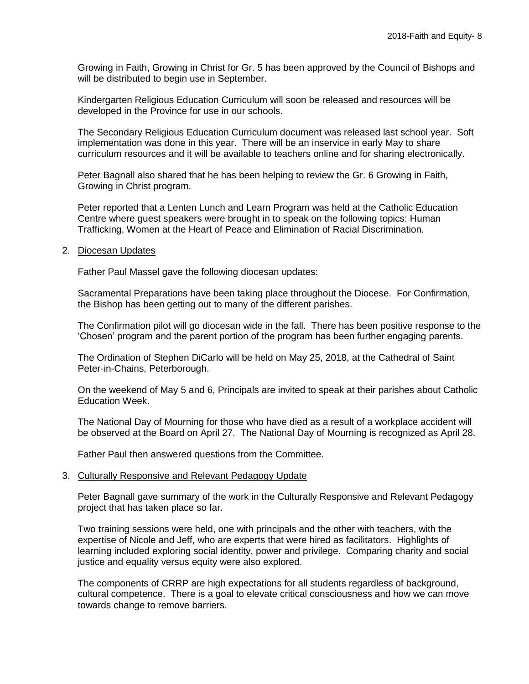Growing in Faith, Growing in Christ for Gr. 5 has been approved by the Council of Bishops and will be distributed to begin use in September.

Kindergarten Religious Education Curriculum will soon be released and resources will be developed in the Province for use in our schools.

The Secondary Religious Education Curriculum document was released last school year. Soft implementation was done in this year. There will be an inservice in early May to share curriculum resources and it will be available to teachers online and for sharing electronically.

Peter Bagnall also shared that he has been helping to review the Gr. 6 Growing in Faith, Growing in Christ program.

Peter reported that a Lenten Lunch and Learn Program was held at the Catholic Education Centre where guest speakers were brought in to speak on the following topics: Human Trafficking, Women at the Heart of Peace and Elimination of Racial Discrimination.

2. Diocesan Updates

Father Paul Massel gave the following diocesan updates:

Sacramental Preparations have been taking place throughout the Diocese. For Confirmation, the Bishop has been getting out to many of the different parishes.

The Confirmation pilot will go diocesan wide in the fall. There has been positive response to the 'Chosen' program and the parent portion of the program has been further engaging parents.

The Ordination of Stephen DiCarlo will be held on May 25, 2018, at the Cathedral of Saint Peter-in-Chains, Peterborough.

On the weekend of May 5 and 6, Principals are invited to speak at their parishes about Catholic Education Week.

The National Day of Mourning for those who have died as a result of a workplace accident will be observed at the Board on April 27. The National Day of Mourning is recognized as April 28.

Father Paul then answered questions from the Committee.

### 3. Culturally Responsive and Relevant Pedagogy Update

Peter Bagnall gave summary of the work in the Culturally Responsive and Relevant Pedagogy project that has taken place so far.

Two training sessions were held, one with principals and the other with teachers, with the expertise of Nicole and Jeff, who are experts that were hired as facilitators. Highlights of learning included exploring social identity, power and privilege. Comparing charity and social justice and equality versus equity were also explored.

The components of CRRP are high expectations for all students regardless of background, cultural competence. There is a goal to elevate critical consciousness and how we can move towards change to remove barriers.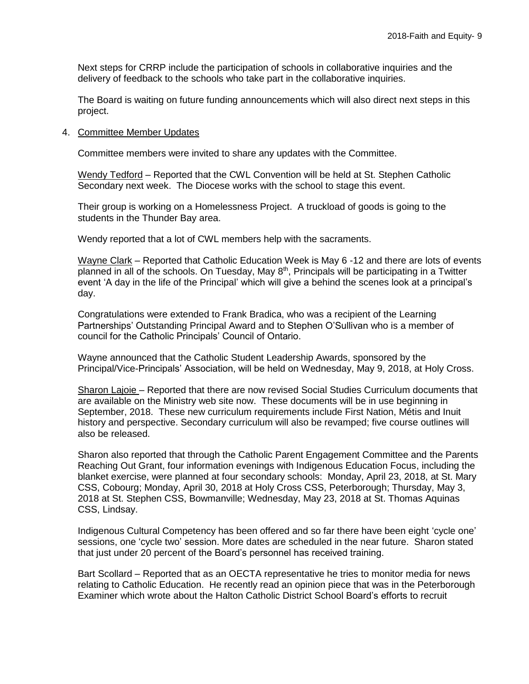Next steps for CRRP include the participation of schools in collaborative inquiries and the delivery of feedback to the schools who take part in the collaborative inquiries.

The Board is waiting on future funding announcements which will also direct next steps in this project.

#### 4. Committee Member Updates

Committee members were invited to share any updates with the Committee.

Wendy Tedford – Reported that the CWL Convention will be held at St. Stephen Catholic Secondary next week. The Diocese works with the school to stage this event.

Their group is working on a Homelessness Project. A truckload of goods is going to the students in the Thunder Bay area.

Wendy reported that a lot of CWL members help with the sacraments.

Wayne Clark – Reported that Catholic Education Week is May 6 -12 and there are lots of events planned in all of the schools. On Tuesday, May 8<sup>th</sup>, Principals will be participating in a Twitter event 'A day in the life of the Principal' which will give a behind the scenes look at a principal's day.

Congratulations were extended to Frank Bradica, who was a recipient of the Learning Partnerships' Outstanding Principal Award and to Stephen O'Sullivan who is a member of council for the Catholic Principals' Council of Ontario.

Wayne announced that the Catholic Student Leadership Awards, sponsored by the Principal/Vice-Principals' Association, will be held on Wednesday, May 9, 2018, at Holy Cross.

Sharon Lajoie – Reported that there are now revised Social Studies Curriculum documents that are available on the Ministry web site now. These documents will be in use beginning in September, 2018. These new curriculum requirements include First Nation, Métis and Inuit history and perspective. Secondary curriculum will also be revamped; five course outlines will also be released.

Sharon also reported that through the Catholic Parent Engagement Committee and the Parents Reaching Out Grant, four information evenings with Indigenous Education Focus, including the blanket exercise, were planned at four secondary schools: Monday, April 23, 2018, at St. Mary CSS, Cobourg; Monday, April 30, 2018 at Holy Cross CSS, Peterborough; Thursday, May 3, 2018 at St. Stephen CSS, Bowmanville; Wednesday, May 23, 2018 at St. Thomas Aquinas CSS, Lindsay.

Indigenous Cultural Competency has been offered and so far there have been eight 'cycle one' sessions, one 'cycle two' session. More dates are scheduled in the near future. Sharon stated that just under 20 percent of the Board's personnel has received training.

Bart Scollard – Reported that as an OECTA representative he tries to monitor media for news relating to Catholic Education. He recently read an opinion piece that was in the Peterborough Examiner which wrote about the Halton Catholic District School Board's efforts to recruit